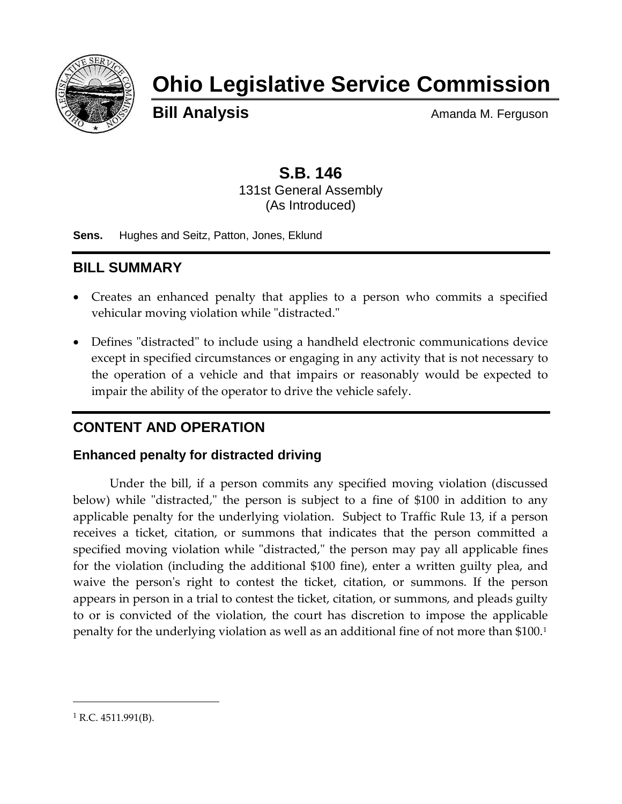

# **Ohio Legislative Service Commission**

**Bill Analysis** Amanda M. Ferguson

# **S.B. 146** 131st General Assembly (As Introduced)

**Sens.** Hughes and Seitz, Patton, Jones, Eklund

# **BILL SUMMARY**

- Creates an enhanced penalty that applies to a person who commits a specified vehicular moving violation while "distracted."
- Defines "distracted" to include using a handheld electronic communications device except in specified circumstances or engaging in any activity that is not necessary to the operation of a vehicle and that impairs or reasonably would be expected to impair the ability of the operator to drive the vehicle safely.

# **CONTENT AND OPERATION**

#### **Enhanced penalty for distracted driving**

Under the bill, if a person commits any specified moving violation (discussed below) while "distracted," the person is subject to a fine of \$100 in addition to any applicable penalty for the underlying violation. Subject to Traffic Rule 13, if a person receives a ticket, citation, or summons that indicates that the person committed a specified moving violation while "distracted," the person may pay all applicable fines for the violation (including the additional \$100 fine), enter a written guilty plea, and waive the person's right to contest the ticket, citation, or summons. If the person appears in person in a trial to contest the ticket, citation, or summons, and pleads guilty to or is convicted of the violation, the court has discretion to impose the applicable penalty for the underlying violation as well as an additional fine of not more than \$100.<sup>1</sup>

 $\overline{a}$ 

 $1$  R.C. 4511.991(B).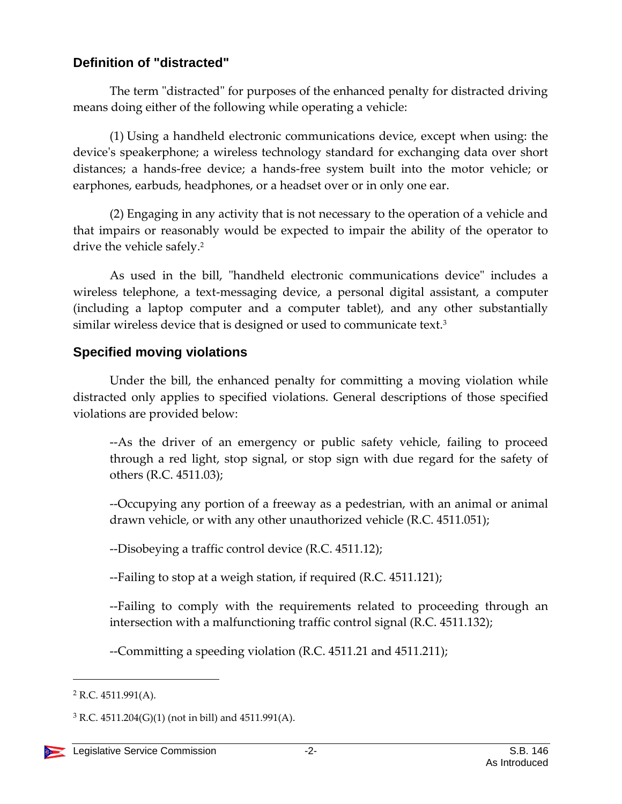## **Definition of "distracted"**

The term "distracted" for purposes of the enhanced penalty for distracted driving means doing either of the following while operating a vehicle:

(1) Using a handheld electronic communications device, except when using: the device's speakerphone; a wireless technology standard for exchanging data over short distances; a hands-free device; a hands-free system built into the motor vehicle; or earphones, earbuds, headphones, or a headset over or in only one ear.

(2) Engaging in any activity that is not necessary to the operation of a vehicle and that impairs or reasonably would be expected to impair the ability of the operator to drive the vehicle safely.<sup>2</sup>

As used in the bill, "handheld electronic communications device" includes a wireless telephone, a text-messaging device, a personal digital assistant, a computer (including a laptop computer and a computer tablet), and any other substantially similar wireless device that is designed or used to communicate text.<sup>3</sup>

## **Specified moving violations**

Under the bill, the enhanced penalty for committing a moving violation while distracted only applies to specified violations. General descriptions of those specified violations are provided below:

--As the driver of an emergency or public safety vehicle, failing to proceed through a red light, stop signal, or stop sign with due regard for the safety of others (R.C. 4511.03);

--Occupying any portion of a freeway as a pedestrian, with an animal or animal drawn vehicle, or with any other unauthorized vehicle (R.C. 4511.051);

--Disobeying a traffic control device (R.C. 4511.12);

--Failing to stop at a weigh station, if required (R.C. 4511.121);

--Failing to comply with the requirements related to proceeding through an intersection with a malfunctioning traffic control signal (R.C. 4511.132);

--Committing a speeding violation (R.C. 4511.21 and 4511.211);

 $\overline{a}$ 

<sup>2</sup> R.C. 4511.991(A).

 $3$  R.C. 4511.204(G)(1) (not in bill) and 4511.991(A).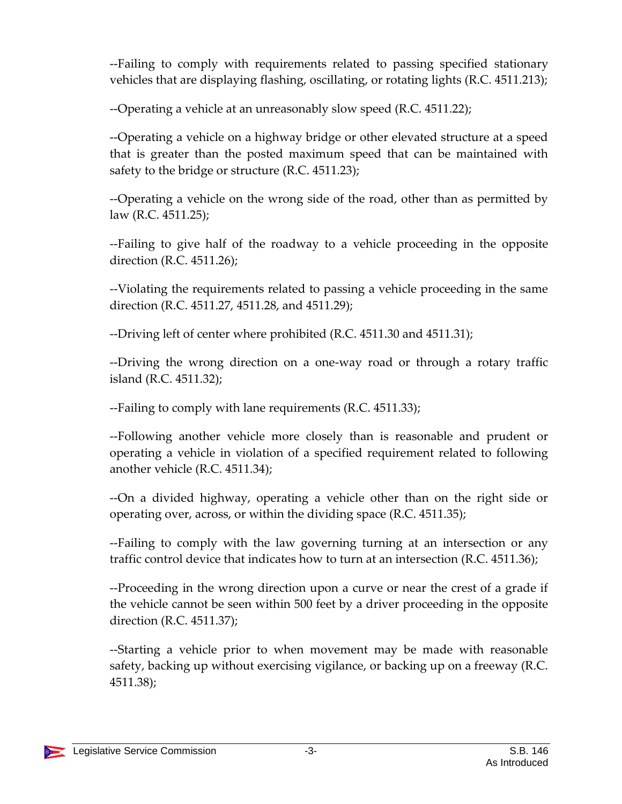--Failing to comply with requirements related to passing specified stationary vehicles that are displaying flashing, oscillating, or rotating lights (R.C. 4511.213);

--Operating a vehicle at an unreasonably slow speed (R.C. 4511.22);

--Operating a vehicle on a highway bridge or other elevated structure at a speed that is greater than the posted maximum speed that can be maintained with safety to the bridge or structure (R.C. 4511.23);

--Operating a vehicle on the wrong side of the road, other than as permitted by law (R.C. 4511.25);

--Failing to give half of the roadway to a vehicle proceeding in the opposite direction (R.C. 4511.26);

--Violating the requirements related to passing a vehicle proceeding in the same direction (R.C. 4511.27, 4511.28, and 4511.29);

--Driving left of center where prohibited (R.C. 4511.30 and 4511.31);

--Driving the wrong direction on a one-way road or through a rotary traffic island (R.C. 4511.32);

--Failing to comply with lane requirements (R.C. 4511.33);

--Following another vehicle more closely than is reasonable and prudent or operating a vehicle in violation of a specified requirement related to following another vehicle (R.C. 4511.34);

--On a divided highway, operating a vehicle other than on the right side or operating over, across, or within the dividing space (R.C. 4511.35);

--Failing to comply with the law governing turning at an intersection or any traffic control device that indicates how to turn at an intersection (R.C. 4511.36);

--Proceeding in the wrong direction upon a curve or near the crest of a grade if the vehicle cannot be seen within 500 feet by a driver proceeding in the opposite direction (R.C. 4511.37);

--Starting a vehicle prior to when movement may be made with reasonable safety, backing up without exercising vigilance, or backing up on a freeway (R.C. 4511.38);

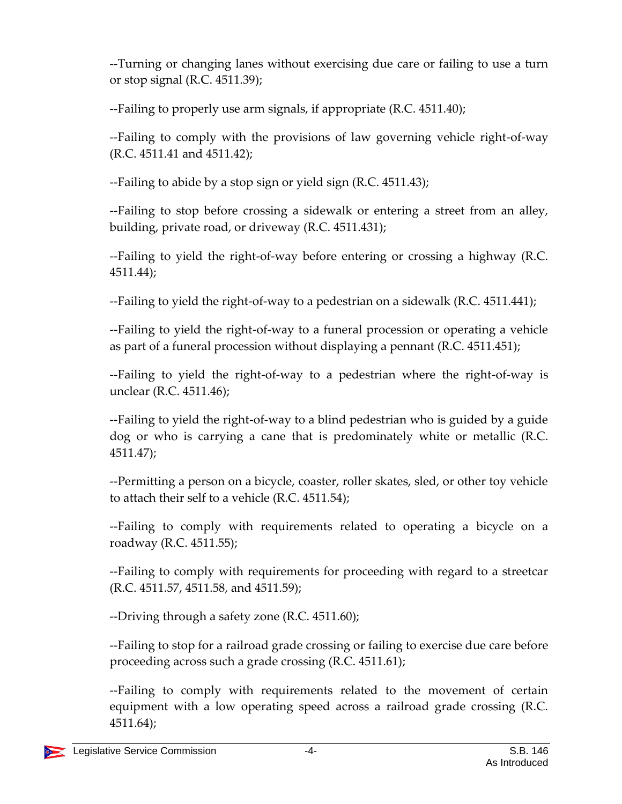--Turning or changing lanes without exercising due care or failing to use a turn or stop signal (R.C. 4511.39);

--Failing to properly use arm signals, if appropriate (R.C. 4511.40);

--Failing to comply with the provisions of law governing vehicle right-of-way (R.C. 4511.41 and 4511.42);

--Failing to abide by a stop sign or yield sign (R.C. 4511.43);

--Failing to stop before crossing a sidewalk or entering a street from an alley, building, private road, or driveway (R.C. 4511.431);

--Failing to yield the right-of-way before entering or crossing a highway (R.C. 4511.44);

--Failing to yield the right-of-way to a pedestrian on a sidewalk (R.C. 4511.441);

--Failing to yield the right-of-way to a funeral procession or operating a vehicle as part of a funeral procession without displaying a pennant (R.C. 4511.451);

--Failing to yield the right-of-way to a pedestrian where the right-of-way is unclear (R.C. 4511.46);

--Failing to yield the right-of-way to a blind pedestrian who is guided by a guide dog or who is carrying a cane that is predominately white or metallic (R.C. 4511.47);

--Permitting a person on a bicycle, coaster, roller skates, sled, or other toy vehicle to attach their self to a vehicle (R.C. 4511.54);

--Failing to comply with requirements related to operating a bicycle on a roadway (R.C. 4511.55);

--Failing to comply with requirements for proceeding with regard to a streetcar (R.C. 4511.57, 4511.58, and 4511.59);

--Driving through a safety zone (R.C. 4511.60);

--Failing to stop for a railroad grade crossing or failing to exercise due care before proceeding across such a grade crossing (R.C. 4511.61);

--Failing to comply with requirements related to the movement of certain equipment with a low operating speed across a railroad grade crossing (R.C. 4511.64);